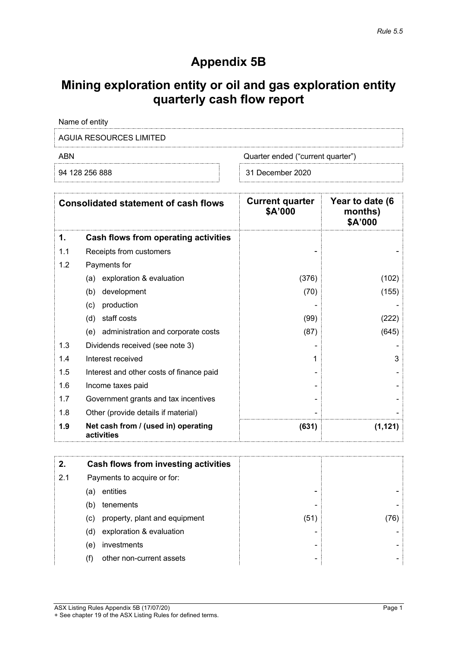# **Appendix 5B**

# **Mining exploration entity or oil and gas exploration entity quarterly cash flow report**

| Name of entity          |                                   |
|-------------------------|-----------------------------------|
| AGUIA RESOURCES LIMITED |                                   |
| ARN                     | Quarter ended ("current quarter") |
| 94 128 256 888          | 31 December 2020                  |

|     | <b>Consolidated statement of cash flows</b>       | <b>Current quarter</b><br>\$A'000 | Year to date (6<br>months)<br>\$A'000 |
|-----|---------------------------------------------------|-----------------------------------|---------------------------------------|
| 1.  | <b>Cash flows from operating activities</b>       |                                   |                                       |
| 1.1 | Receipts from customers                           |                                   |                                       |
| 1.2 | Payments for                                      |                                   |                                       |
|     | exploration & evaluation<br>(a)                   | (376)                             | (102)                                 |
|     | development<br>(b)                                | (70)                              | (155)                                 |
|     | production<br>(c)                                 |                                   |                                       |
|     | staff costs<br>(d)                                | (99)                              | (222)                                 |
|     | administration and corporate costs<br>(e)         | (87)                              | (645)                                 |
| 1.3 | Dividends received (see note 3)                   |                                   |                                       |
| 1.4 | Interest received                                 | 1                                 | 3                                     |
| 1.5 | Interest and other costs of finance paid          |                                   |                                       |
| 1.6 | Income taxes paid                                 |                                   |                                       |
| 1.7 | Government grants and tax incentives              |                                   |                                       |
| 1.8 | Other (provide details if material)               |                                   |                                       |
| 1.9 | Net cash from / (used in) operating<br>activities | (631)                             | (1, 121)                              |
| 2.  | <b>Cash flows from investing activities</b>       |                                   |                                       |
| 2.1 | Payments to acquire or for:                       |                                   |                                       |
|     | entities<br>(a)                                   |                                   |                                       |
|     | tenements<br>(b)                                  |                                   |                                       |
|     | property, plant and equipment<br>(c)              | (51)                              | (76)                                  |
|     | exploration & evaluation<br>(d)                   |                                   |                                       |
|     | investments<br>(e)                                |                                   |                                       |
|     | (f)<br>other non-current assets                   |                                   |                                       |

- (c) property, plant and equipment (61) (76)<br>
(d) exploration & evaluation (9) investments  $\begin{bmatrix} -1 \end{bmatrix}$  (76) (d) exploration & evaluation  $\vert$   $\vert$
- (e) investments and the set of the set of the set of the set of the set of the set of the set of the set of the set of the set of the set of the set of the set of the set of the set of the set of the set of the set of the  $(f)$  other non-current assets  $\qquad \qquad$

 $\begin{tabular}{ccccccccc} \multicolumn{2}{c}{} & \multicolumn{2}{c}{} & \multicolumn{2}{c}{} & \multicolumn{2}{c}{} & \multicolumn{2}{c}{} & \multicolumn{2}{c}{} & \multicolumn{2}{c}{} & \multicolumn{2}{c}{} & \multicolumn{2}{c}{} & \multicolumn{2}{c}{} & \multicolumn{2}{c}{} & \multicolumn{2}{c}{} & \multicolumn{2}{c}{} & \multicolumn{2}{c}{} & \multicolumn{2}{c}{} & \multicolumn{2}{c}{} & \multicolumn{2}{c}{} & \multicolumn{2}{c}{} & \multicolumn{2}{c}{} & \$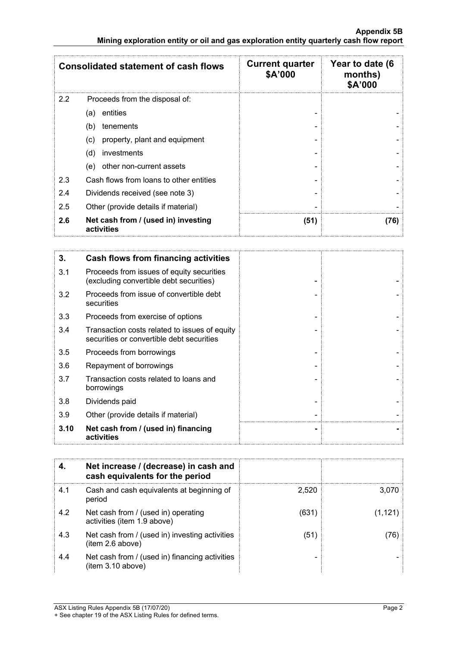|     | <b>Consolidated statement of cash flows</b>                                                | <b>Current quarter</b><br>\$A'000 | Year to date (6<br>months)<br>\$A'000 |
|-----|--------------------------------------------------------------------------------------------|-----------------------------------|---------------------------------------|
| 2.2 | Proceeds from the disposal of:                                                             |                                   |                                       |
|     | entities<br>(a)                                                                            |                                   |                                       |
|     | tenements<br>(b)                                                                           |                                   |                                       |
|     | property, plant and equipment<br>(c)                                                       |                                   |                                       |
|     | investments<br>(d)                                                                         |                                   |                                       |
|     | other non-current assets<br>(e)                                                            |                                   |                                       |
| 2.3 | Cash flows from loans to other entities                                                    |                                   |                                       |
| 2.4 | Dividends received (see note 3)                                                            |                                   |                                       |
| 2.5 | Other (provide details if material)                                                        |                                   |                                       |
| 2.6 | Net cash from / (used in) investing<br>activities                                          | (51)                              | (76)                                  |
|     |                                                                                            |                                   |                                       |
| 3.  | <b>Cash flows from financing activities</b>                                                |                                   |                                       |
| 3.1 | Proceeds from issues of equity securities<br>(excluding convertible debt securities)       |                                   |                                       |
| 3.2 | Proceeds from issue of convertible debt<br>securities                                      |                                   |                                       |
| 3.3 | Proceeds from exercise of options                                                          |                                   |                                       |
| 3.4 | Transaction costs related to issues of equity<br>securities or convertible debt securities |                                   |                                       |

| 3.10 | Net cash from / (used in) financing<br>activities                                          |  |
|------|--------------------------------------------------------------------------------------------|--|
| 3.9  | Other (provide details if material)                                                        |  |
| 3.8  | Dividends paid                                                                             |  |
| 3.7  | Transaction costs related to loans and<br>borrowings                                       |  |
| 3.6  | Repayment of borrowings                                                                    |  |
| 3.5  | Proceeds from borrowings                                                                   |  |
| 3.4  | Transaction costs related to issues of equity<br>securities or convertible debt securities |  |

|     | Net increase / (decrease) in cash and<br>cash equivalents for the period |       |         |
|-----|--------------------------------------------------------------------------|-------|---------|
| 4.1 | Cash and cash equivalents at beginning of<br>period                      | 2.520 | 3.070   |
| 4.2 | Net cash from / (used in) operating<br>activities (item 1.9 above)       | (631) | (1.121) |
| 4.3 | Net cash from / (used in) investing activities<br>item 2.6 above)        | (51)  | (76)    |
| 4.4 | Net cash from / (used in) financing activities<br>item 3.10 above)       |       |         |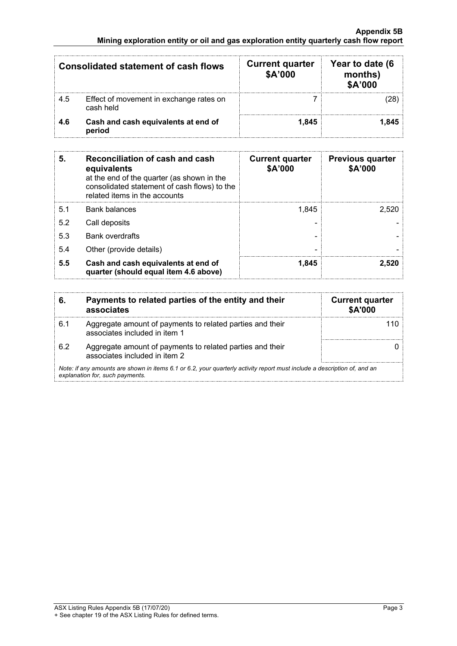#### **Appendix 5B Mining exploration entity or oil and gas exploration entity quarterly cash flow report**

|     | <b>Consolidated statement of cash flows</b>          | <b>Current quarter</b><br>\$A'000 | Year to date (6<br>months)<br>\$A'000 |
|-----|------------------------------------------------------|-----------------------------------|---------------------------------------|
| 4.5 | Effect of movement in exchange rates on<br>cash held |                                   | 28                                    |
| 4.6 | Cash and cash equivalents at end of<br>period        | 1.845                             | 1.845                                 |

| 5.  | <b>Reconciliation of cash and cash</b><br>equivalents<br>at the end of the quarter (as shown in the<br>consolidated statement of cash flows) to the<br>related items in the accounts | <b>Current quarter</b><br>\$A'000 | <b>Previous quarter</b><br>\$A'000 |
|-----|--------------------------------------------------------------------------------------------------------------------------------------------------------------------------------------|-----------------------------------|------------------------------------|
| 5.1 | <b>Bank balances</b>                                                                                                                                                                 | 1.845                             | 2.520                              |
| 5.2 | Call deposits                                                                                                                                                                        |                                   |                                    |
| 5.3 | <b>Bank overdrafts</b>                                                                                                                                                               |                                   |                                    |
| 5.4 | Other (provide details)                                                                                                                                                              |                                   |                                    |
| 5.5 | Cash and cash equivalents at end of<br>quarter (should equal item 4.6 above)                                                                                                         | 1.845                             | 2.520                              |

| 6.  | Payments to related parties of the entity and their<br>associates                                                                                           | <b>Current quarter</b><br><b>\$A'000</b> |
|-----|-------------------------------------------------------------------------------------------------------------------------------------------------------------|------------------------------------------|
| 6.1 | Aggregate amount of payments to related parties and their<br>associates included in item 1                                                                  |                                          |
| 62  | Aggregate amount of payments to related parties and their<br>associates included in item 2                                                                  |                                          |
|     | Note: if any amounts are shown in items 6.1 or 6.2, your quarterly activity report must include a description of, and an<br>explanation for, such payments. |                                          |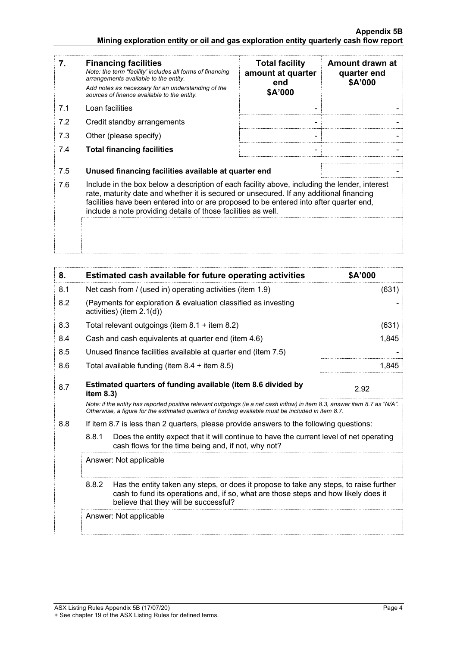| 7.         | <b>Financing facilities</b><br>Note: the term "facility' includes all forms of financing<br>arrangements available to the entity.<br>Add notes as necessary for an understanding of the<br>sources of finance available to the entity.                                                                                                                                                                       | <b>Total facility</b><br>amount at quarter<br>end<br>\$A'000 | Amount drawn at<br>quarter end<br>\$A'000 |
|------------|--------------------------------------------------------------------------------------------------------------------------------------------------------------------------------------------------------------------------------------------------------------------------------------------------------------------------------------------------------------------------------------------------------------|--------------------------------------------------------------|-------------------------------------------|
| 7.1        | Loan facilities                                                                                                                                                                                                                                                                                                                                                                                              |                                                              |                                           |
| 7.2        | Credit standby arrangements                                                                                                                                                                                                                                                                                                                                                                                  |                                                              |                                           |
| 7.3        | Other (please specify)                                                                                                                                                                                                                                                                                                                                                                                       |                                                              |                                           |
| 7.4        | <b>Total financing facilities</b>                                                                                                                                                                                                                                                                                                                                                                            |                                                              |                                           |
| 7.5<br>7.6 | Unused financing facilities available at quarter end<br>Include in the box below a description of each facility above, including the lender, interest<br>rate, maturity date and whether it is secured or unsecured. If any additional financing<br>facilities have been entered into or are proposed to be entered into after quarter end,<br>include a note providing details of those facilities as well. |                                                              |                                           |
| 8.         | Estimated cash available for future operating activities                                                                                                                                                                                                                                                                                                                                                     |                                                              | \$A'000                                   |
| 8.1        | Net cash from / (used in) operating activities (item 1.9)                                                                                                                                                                                                                                                                                                                                                    |                                                              | (631)                                     |
| 8.2        | (Payments for exploration & evaluation classified as investing<br>activities) (item 2.1(d))                                                                                                                                                                                                                                                                                                                  |                                                              |                                           |
| 8.3        | Total relevant outgoings (item 8.1 + item 8.2)                                                                                                                                                                                                                                                                                                                                                               |                                                              | (631)                                     |
| 8.4        | Cash and cash equivalents at quarter end (item 4.6)                                                                                                                                                                                                                                                                                                                                                          |                                                              | 1,845                                     |
| 8.5        | Unused finance facilities available at quarter end (item 7.5)                                                                                                                                                                                                                                                                                                                                                |                                                              |                                           |

- 8.6 Total available funding (item 8.4 + item 8.5) 1,845
- 8.7 **Estimated quarters of funding available (item 8.6 divided by item 8.3)** 2.92 *Note: if the entity has reported positive relevant outgoings (ie a net cash inflow) in item 8.3, answer item 8.7 as "N/A". Otherwise, a figure for the estimated quarters of funding available must be included in item 8.7.*

### 8.8 If item 8.7 is less than 2 quarters, please provide answers to the following questions:

8.8.1 Does the entity expect that it will continue to have the current level of net operating cash flows for the time being and, if not, why not?

Answer: Not applicable 8.8.2 Has the entity taken any steps, or does it propose to take any steps, to raise further cash to fund its operations and, if so, what are those steps and how likely does it believe that they will be successful?<br>
and the successful? j Answer: Not applicable